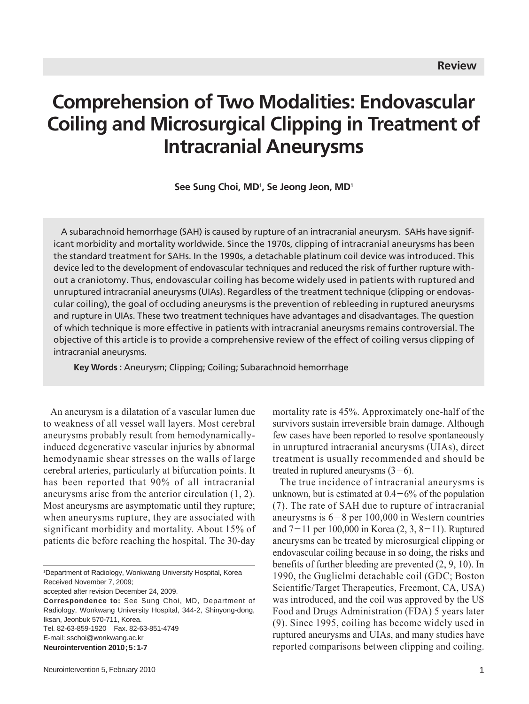# **Comprehension of Two Modalities: Endovascular Coiling and Microsurgical Clipping in Treatment of Intracranial Aneurysms**

See Sung Choi, MD<sup>1</sup>, Se Jeong Jeon, MD<sup>1</sup>

A subarachnoid hemorrhage (SAH) is caused by rupture of an intracranial aneurysm. SAHs have significant morbidity and mortality worldwide. Since the 1970s, clipping of intracranial aneurysms has been the standard treatment for SAHs. In the 1990s, a detachable platinum coil device was introduced. This device led to the development of endovascular techniques and reduced the risk of further rupture without a craniotomy. Thus, endovascular coiling has become widely used in patients with ruptured and unruptured intracranial aneurysms (UIAs). Regardless of the treatment technique (clipping or endovascular coiling), the goal of occluding aneurysms is the prevention of rebleeding in ruptured aneurysms and rupture in UIAs. These two treatment techniques have advantages and disadvantages. The question of which technique is more effective in patients with intracranial aneurysms remains controversial. The objective of this article is to provide a comprehensive review of the effect of coiling versus clipping of intracranial aneurysms.

**Key Words :** Aneurysm; Clipping; Coiling; Subarachnoid hemorrhage

An aneurysm is a dilatation of a vascular lumen due to weakness of all vessel wall layers. Most cerebral aneurysms probably result from hemodynamicallyinduced degenerative vascular injuries by abnormal hemodynamic shear stresses on the walls of large cerebral arteries, particularly at bifurcation points. It has been reported that 90% of all intracranial aneurysms arise from the anterior circulation (1, 2). Most aneurysms are asymptomatic until they rupture; when aneurysms rupture, they are associated with significant morbidity and mortality. About 15% of patients die before reaching the hospital. The 30-day

accepted after revision December 24, 2009.

mortality rate is 45%. Approximately one-half of the survivors sustain irreversible brain damage. Although few cases have been reported to resolve spontaneously in unruptured intracranial aneurysms (UIAs), direct treatment is usually recommended and should be treated in ruptured aneurysms  $(3-6)$ .

The true incidence of intracranial aneurysms is unknown, but is estimated at  $0.4-6\%$  of the population (7). The rate of SAH due to rupture of intracranial aneurysms is  $6-8$  per 100,000 in Western countries and  $7-11$  per 100,000 in Korea  $(2, 3, 8-11)$ . Ruptured aneurysms can be treated by microsurgical clipping or endovascular coiling because in so doing, the risks and benefits of further bleeding are prevented (2, 9, 10). In 1990, the Guglielmi detachable coil (GDC; Boston Scientific/Target Therapeutics, Freemont, CA, USA) was introduced, and the coil was approved by the US Food and Drugs Administration (FDA) 5 years later (9). Since 1995, coiling has become widely used in ruptured aneurysms and UIAs, and many studies have reported comparisons between clipping and coiling.

<sup>1</sup> Department of Radiology, Wonkwang University Hospital, Korea Received November 7, 2009;

**Correspondence to:** See Sung Choi, MD, Department of Radiology, Wonkwang University Hospital, 344-2, Shinyong-dong, Iksan, Jeonbuk 570-711, Korea. Tel. 82-63-859-1920 Fax. 82-63-851-4749 E-mail: sschoi@wonkwang.ac.kr **Neurointervention 2010;5:1-7**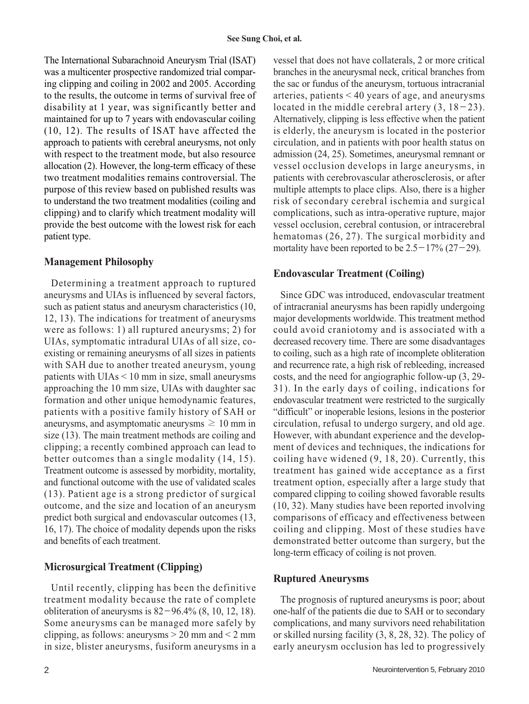The International Subarachnoid Aneurysm Trial (ISAT) was a multicenter prospective randomized trial comparing clipping and coiling in 2002 and 2005. According to the results, the outcome in terms of survival free of disability at 1 year, was significantly better and maintained for up to 7 years with endovascular coiling (10, 12). The results of ISAT have affected the approach to patients with cerebral aneurysms, not only with respect to the treatment mode, but also resource allocation (2). However, the long-term efficacy of these two treatment modalities remains controversial. The purpose of this review based on published results was to understand the two treatment modalities (coiling and clipping) and to clarify which treatment modality will provide the best outcome with the lowest risk for each patient type.

# **Management Philosophy**

Determining a treatment approach to ruptured aneurysms and UIAs is influenced by several factors, such as patient status and aneurysm characteristics (10, 12, 13). The indications for treatment of aneurysms were as follows: 1) all ruptured aneurysms; 2) for UIAs, symptomatic intradural UIAs of all size, coexisting or remaining aneurysms of all sizes in patients with SAH due to another treated aneurysm, young patients with UIAs < 10 mm in size, small aneurysms approaching the 10 mm size, UIAs with daughter sac formation and other unique hemodynamic features, patients with a positive family history of SAH or aneurysms, and asymptomatic aneurysms  $\geq 10$  mm in size (13). The main treatment methods are coiling and clipping; a recently combined approach can lead to better outcomes than a single modality (14, 15). Treatment outcome is assessed by morbidity, mortality, and functional outcome with the use of validated scales (13). Patient age is a strong predictor of surgical outcome, and the size and location of an aneurysm predict both surgical and endovascular outcomes (13, 16, 17). The choice of modality depends upon the risks and benefits of each treatment.

# **Microsurgical Treatment (Clipping)**

Until recently, clipping has been the definitive treatment modality because the rate of complete obliteration of aneurysms is  $82-96.4\%$  (8, 10, 12, 18). Some aneurysms can be managed more safely by clipping, as follows: aneurysms  $> 20$  mm and  $< 2$  mm in size, blister aneurysms, fusiform aneurysms in a

vessel that does not have collaterals, 2 or more critical branches in the aneurysmal neck, critical branches from the sac or fundus of the aneurysm, tortuous intracranial arteries, patients < 40 years of age, and aneurysms located in the middle cerebral artery  $(3, 18-23)$ . Alternatively, clipping is less effective when the patient is elderly, the aneurysm is located in the posterior circulation, and in patients with poor health status on admission (24, 25). Sometimes, aneurysmal remnant or vessel occlusion develops in large aneurysms, in patients with cerebrovascular atherosclerosis, or after multiple attempts to place clips. Also, there is a higher risk of secondary cerebral ischemia and surgical complications, such as intra-operative rupture, major vessel occlusion, cerebral contusion, or intracerebral hematomas (26, 27). The surgical morbidity and mortality have been reported to be  $2.5-17\%$  (27-29).

# **Endovascular Treatment (Coiling)**

Since GDC was introduced, endovascular treatment of intracranial aneurysms has been rapidly undergoing major developments worldwide. This treatment method could avoid craniotomy and is associated with a decreased recovery time. There are some disadvantages to coiling, such as a high rate of incomplete obliteration and recurrence rate, a high risk of rebleeding, increased costs, and the need for angiographic follow-up (3, 29- 31). In the early days of coiling, indications for endovascular treatment were restricted to the surgically "difficult" or inoperable lesions, lesions in the posterior circulation, refusal to undergo surgery, and old age. However, with abundant experience and the development of devices and techniques, the indications for coiling have widened (9, 18, 20). Currently, this treatment has gained wide acceptance as a first treatment option, especially after a large study that compared clipping to coiling showed favorable results (10, 32). Many studies have been reported involving comparisons of efficacy and effectiveness between coiling and clipping. Most of these studies have demonstrated better outcome than surgery, but the long-term efficacy of coiling is not proven.

### **Ruptured Aneurysms**

The prognosis of ruptured aneurysms is poor; about one-half of the patients die due to SAH or to secondary complications, and many survivors need rehabilitation or skilled nursing facility (3, 8, 28, 32). The policy of early aneurysm occlusion has led to progressively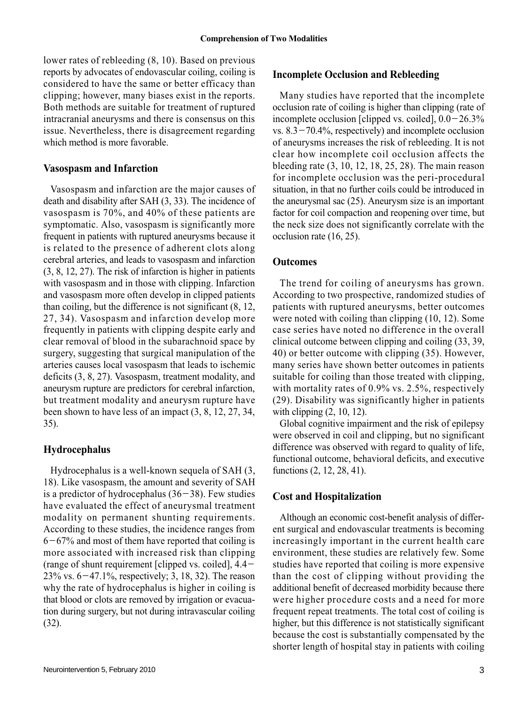lower rates of rebleeding (8, 10). Based on previous reports by advocates of endovascular coiling, coiling is considered to have the same or better efficacy than clipping; however, many biases exist in the reports. Both methods are suitable for treatment of ruptured intracranial aneurysms and there is consensus on this issue. Nevertheless, there is disagreement regarding which method is more favorable.

#### **Vasospasm and Infarction**

Vasospasm and infarction are the major causes of death and disability after SAH (3, 33). The incidence of vasospasm is 70%, and 40% of these patients are symptomatic. Also, vasospasm is significantly more frequent in patients with ruptured aneurysms because it is related to the presence of adherent clots along cerebral arteries, and leads to vasospasm and infarction (3, 8, 12, 27). The risk of infarction is higher in patients with vasospasm and in those with clipping. Infarction and vasospasm more often develop in clipped patients than coiling, but the difference is not significant (8, 12, 27, 34). Vasospasm and infarction develop more frequently in patients with clipping despite early and clear removal of blood in the subarachnoid space by surgery, suggesting that surgical manipulation of the arteries causes local vasospasm that leads to ischemic deficits (3, 8, 27). Vasospasm, treatment modality, and aneurysm rupture are predictors for cerebral infarction, but treatment modality and aneurysm rupture have been shown to have less of an impact (3, 8, 12, 27, 34, 35).

#### **Hydrocephalus**

Hydrocephalus is a well-known sequela of SAH (3, 18). Like vasospasm, the amount and severity of SAH is a predictor of hydrocephalus  $(36-38)$ . Few studies have evaluated the effect of aneurysmal treatment modality on permanent shunting requirements. According to these studies, the incidence ranges from  $6-67\%$  and most of them have reported that coiling is more associated with increased risk than clipping (range of shunt requirement [clipped vs. coiled], 4.4-  $23\%$  vs.  $6-47.1\%$ , respectively; 3, 18, 32). The reason why the rate of hydrocephalus is higher in coiling is that blood or clots are removed by irrigation or evacuation during surgery, but not during intravascular coiling (32).

Many studies have reported that the incomplete occlusion rate of coiling is higher than clipping (rate of incomplete occlusion [clipped vs. coiled],  $0.0-26.3\%$ vs.  $8.3 - 70.4\%$ , respectively) and incomplete occlusion of aneurysms increases the risk of rebleeding. It is not clear how incomplete coil occlusion affects the bleeding rate (3, 10, 12, 18, 25, 28). The main reason for incomplete occlusion was the peri-procedural situation, in that no further coils could be introduced in the aneurysmal sac (25). Aneurysm size is an important factor for coil compaction and reopening over time, but the neck size does not significantly correlate with the occlusion rate (16, 25).

#### **Outcomes**

The trend for coiling of aneurysms has grown. According to two prospective, randomized studies of patients with ruptured aneurysms, better outcomes were noted with coiling than clipping (10, 12). Some case series have noted no difference in the overall clinical outcome between clipping and coiling (33, 39, 40) or better outcome with clipping (35). However, many series have shown better outcomes in patients suitable for coiling than those treated with clipping, with mortality rates of 0.9% vs. 2.5%, respectively (29). Disability was significantly higher in patients with clipping (2, 10, 12).

Global cognitive impairment and the risk of epilepsy were observed in coil and clipping, but no significant difference was observed with regard to quality of life, functional outcome, behavioral deficits, and executive functions (2, 12, 28, 41).

#### **Cost and Hospitalization**

Although an economic cost-benefit analysis of different surgical and endovascular treatments is becoming increasingly important in the current health care environment, these studies are relatively few. Some studies have reported that coiling is more expensive than the cost of clipping without providing the additional benefit of decreased morbidity because there were higher procedure costs and a need for more frequent repeat treatments. The total cost of coiling is higher, but this difference is not statistically significant because the cost is substantially compensated by the shorter length of hospital stay in patients with coiling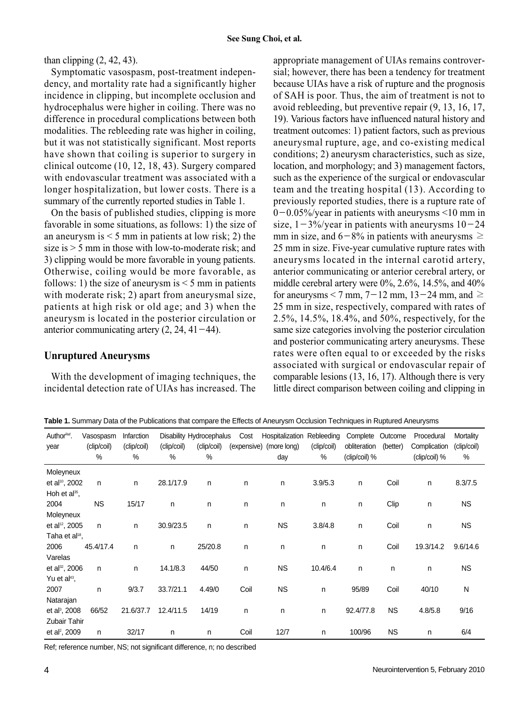than clipping  $(2, 42, 43)$ .

Symptomatic vasospasm, post-treatment independency, and mortality rate had a significantly higher incidence in clipping, but incomplete occlusion and hydrocephalus were higher in coiling. There was no difference in procedural complications between both modalities. The rebleeding rate was higher in coiling, but it was not statistically significant. Most reports have shown that coiling is superior to surgery in clinical outcome (10, 12, 18, 43). Surgery compared with endovascular treatment was associated with a longer hospitalization, but lower costs. There is a summary of the currently reported studies in Table 1.

On the basis of published studies, clipping is more favorable in some situations, as follows: 1) the size of an aneurysm is  $\leq 5$  mm in patients at low risk; 2) the size is > 5 mm in those with low-to-moderate risk; and 3) clipping would be more favorable in young patients. Otherwise, coiling would be more favorable, as follows: 1) the size of aneurysm is  $\leq$  5 mm in patients with moderate risk; 2) apart from aneurysmal size, patients at high risk or old age; and 3) when the aneurysm is located in the posterior circulation or anterior communicating artery  $(2, 24, 41-44)$ .

# **Unruptured Aneurysms**

With the development of imaging techniques, the incidental detection rate of UIAs has increased. The appropriate management of UIAs remains controversial; however, there has been a tendency for treatment because UIAs have a risk of rupture and the prognosis of SAH is poor. Thus, the aim of treatment is not to avoid rebleeding, but preventive repair (9, 13, 16, 17, 19). Various factors have influenced natural history and treatment outcomes: 1) patient factors, such as previous aneurysmal rupture, age, and co-existing medical conditions; 2) aneurysm characteristics, such as size, location, and morphology; and 3) management factors, such as the experience of the surgical or endovascular team and the treating hospital (13). According to previously reported studies, there is a rupture rate of  $0-0.05\%$ /year in patients with aneurysms <10 mm in size,  $1-3\%$ /year in patients with aneurysms  $10-24$ mm in size, and  $6-8\%$  in patients with aneurysms  $\geq$ 25 mm in size. Five-year cumulative rupture rates with aneurysms located in the internal carotid artery, anterior communicating or anterior cerebral artery, or middle cerebral artery were 0%, 2.6%, 14.5%, and 40% for aneurysms < 7 mm,  $7-12$  mm,  $13-24$  mm, and  $\geq$ 25 mm in size, respectively, compared with rates of 2.5%, 14.5%, 18.4%, and 50%, respectively, for the same size categories involving the posterior circulation and posterior communicating artery aneurysms. These rates were often equal to or exceeded by the risks associated with surgical or endovascular repair of comparable lesions (13, 16, 17). Although there is very little direct comparison between coiling and clipping in

**Table 1.** Summary Data of the Publications that compare the Effects of Aneurysm Occlusion Techniques in Ruptured Aneurysms

| AuthorRef.                 | Vasospasm    | Infarction  |             | Disability Hydrocephalus | Cost | Hospitalization Rebleeding |             | Complete      | Outcome   | Procedural    | Mortality   |
|----------------------------|--------------|-------------|-------------|--------------------------|------|----------------------------|-------------|---------------|-----------|---------------|-------------|
| year                       | (clip/coil)  | (clip/coil) | (clip/coil) | (clip/coil)              |      | (expensive) (more long)    | (clip/coil) | obliteration  | (better)  | Complication  | (clip/coil) |
|                            | %            | %           | %           | %                        |      | day                        | %           | (clip/coil) % |           | (clip/coil) % | %           |
| Moleyneux                  |              |             |             |                          |      |                            |             |               |           |               |             |
| et al <sup>10</sup> , 2002 | $\mathsf{n}$ | n           | 28.1/17.9   | n                        | n    | n                          | 3.9/5.3     | $\mathsf{n}$  | Coil      | n             | 8.3/7.5     |
| Hoh et $al^{35}$ ,         |              |             |             |                          |      |                            |             |               |           |               |             |
| 2004                       | <b>NS</b>    | 15/17       | n           | n                        | n    | n                          | n           | n             | Clip      | n             | <b>NS</b>   |
| Moleyneux                  |              |             |             |                          |      |                            |             |               |           |               |             |
| et al <sup>12</sup> , 2005 | n.           | n           | 30.9/23.5   | n                        | n    | <b>NS</b>                  | 3.8/4.8     | $\mathsf{n}$  | Coil      | $\mathsf{n}$  | <b>NS</b>   |
| Taha et al <sup>18</sup> , |              |             |             |                          |      |                            |             |               |           |               |             |
| 2006                       | 45.4/17.4    | n           | n           | 25/20.8                  | n    | n                          | n.          | n             | Coil      | 19.3/14.2     | 9.6/14.6    |
| Varelas                    |              |             |             |                          |      |                            |             |               |           |               |             |
| et al <sup>32</sup> , 2006 | n            | n           | 14.1/8.3    | 44/50                    | n    | <b>NS</b>                  | 10.4/6.4    | $\mathsf{n}$  | n         | n             | <b>NS</b>   |
| Yu et al <sup>43</sup> ,   |              |             |             |                          |      |                            |             |               |           |               |             |
| 2007                       | n            | 9/3.7       | 33.7/21.1   | 4.49/0                   | Coil | <b>NS</b>                  | n           | 95/89         | Coil      | 40/10         | N           |
| Natarajan                  |              |             |             |                          |      |                            |             |               |           |               |             |
| et al <sup>3</sup> , 2008  | 66/52        | 21.6/37.7   | 12.4/11.5   | 14/19                    | n    | n                          | n           | 92.4/77.8     | <b>NS</b> | 4.8/5.8       | 9/16        |
| Zubair Tahir               |              |             |             |                          |      |                            |             |               |           |               |             |
| et al <sup>2</sup> , 2009  | n            | 32/17       | n           | n                        | Coil | 12/7                       | n           | 100/96        | <b>NS</b> | n             | 6/4         |

Ref; reference number, NS; not significant difference, n; no described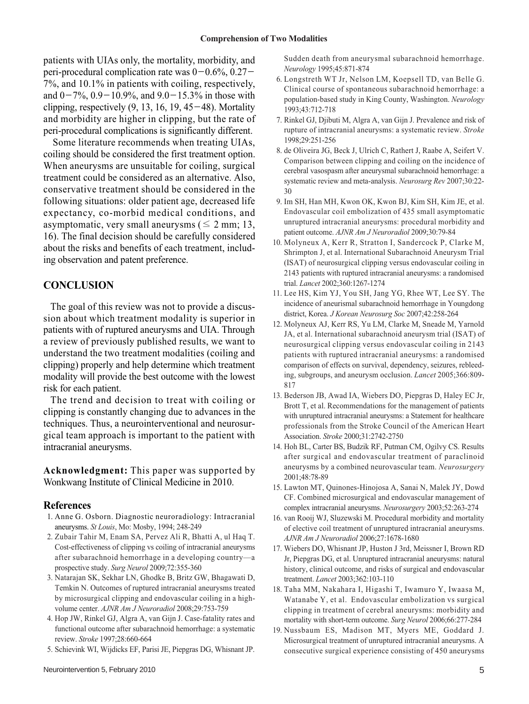patients with UIAs only, the mortality, morbidity, and peri-procedural complication rate was  $0-0.6\%$ ,  $0.27-$ 7%, and 10.1% in patients with coiling, respectively, and  $0-7\%$ ,  $0.9-10.9\%$ , and  $9.0-15.3\%$  in those with clipping, respectively  $(9, 13, 16, 19, 45-48)$ . Mortality and morbidity are higher in clipping, but the rate of peri-procedural complications is significantly different.

Some literature recommends when treating UIAs, coiling should be considered the first treatment option. When aneurysms are unsuitable for coiling, surgical treatment could be considered as an alternative. Also, conservative treatment should be considered in the following situations: older patient age, decreased life expectancy, co-morbid medical conditions, and asymptomatic, very small aneurysms ( $\leq 2$  mm; 13, 16). The final decision should be carefully considered about the risks and benefits of each treatment, including observation and patent preference.

#### **CONCLUSION**

The goal of this review was not to provide a discussion about which treatment modality is superior in patients with of ruptured aneurysms and UIA. Through a review of previously published results, we want to understand the two treatment modalities (coiling and clipping) properly and help determine which treatment modality will provide the best outcome with the lowest risk for each patient.

The trend and decision to treat with coiling or clipping is constantly changing due to advances in the techniques. Thus, a neurointerventional and neurosurgical team approach is important to the patient with intracranial aneurysms.

**Acknowledgment:** This paper was supported by Wonkwang Institute of Clinical Medicine in 2010.

#### **References**

- 1. Anne G. Osborn. Diagnostic neuroradiology: Intracranial aneurysms. *St Louis*, Mo: Mosby, 1994; 248-249
- 2. Zubair Tahir M, Enam SA, Pervez Ali R, Bhatti A, ul Haq T. Cost-effectiveness of clipping vs coiling of intracranial aneurysms after subarachnoid hemorrhage in a developing country—a prospective study. *Surg Neurol* 2009;72:355-360
- 3. Natarajan SK, Sekhar LN, Ghodke B, Britz GW, Bhagawati D, Temkin N. Outcomes of ruptured intracranial aneurysms treated by microsurgical clipping and endovascular coiling in a highvolume center. *AJNR Am J Neuroradiol* 2008;29:753-759
- 4. Hop JW, Rinkel GJ, Algra A, van Gijn J. Case-fatality rates and functional outcome after subarachnoid hemorrhage: a systematic review. *Stroke* 1997;28:660-664
- 5. Schievink WI, Wijdicks EF, Parisi JE, Piepgras DG, Whisnant JP.

Sudden death from aneurysmal subarachnoid hemorrhage. *Neurology* 1995;45:871-874

- 6. Longstreth WT Jr, Nelson LM, Koepsell TD, van Belle G. Clinical course of spontaneous subarachnoid hemorrhage: a population-based study in King County, Washington. *Neurology* 1993;43:712-718
- 7. Rinkel GJ, Djibuti M, Algra A, van Gijn J. Prevalence and risk of rupture of intracranial aneurysms: a systematic review. *Stroke* 1998;29:251-256
- 8. de Oliveira JG, Beck J, Ulrich C, Rathert J, Raabe A, Seifert V. Comparison between clipping and coiling on the incidence of cerebral vasospasm after aneurysmal subarachnoid hemorrhage: a systematic review and meta-analysis. *Neurosurg Rev* 2007;30:22- 30
- 9. Im SH, Han MH, Kwon OK, Kwon BJ, Kim SH, Kim JE, et al. Endovascular coil embolization of 435 small asymptomatic unruptured intracranial aneurysms: procedural morbidity and patient outcome. *AJNR Am J Neuroradiol* 2009;30:79-84
- 10. Molyneux A, Kerr R, Stratton I, Sandercock P, Clarke M, Shrimpton J, et al. International Subarachnoid Aneurysm Trial (ISAT) of neurosurgical clipping versus endovascular coiling in 2143 patients with ruptured intracranial aneurysms: a randomised trial. *Lancet* 2002;360:1267-1274
- 11. Lee HS, Kim YJ, You SH, Jang YG, Rhee WT, Lee SY. The incidence of aneurismal subarachnoid hemorrhage in Youngdong district, Korea. *J Korean Neurosurg Soc* 2007;42:258-264
- 12. Molyneux AJ, Kerr RS, Yu LM, Clarke M, Sneade M, Yarnold JA, et al. International subarachnoid aneurysm trial (ISAT) of neurosurgical clipping versus endovascular coiling in 2143 patients with ruptured intracranial aneurysms: a randomised comparison of effects on survival, dependency, seizures, rebleeding, subgroups, and aneurysm occlusion. *Lancet* 2005;366:809- 817
- 13. Bederson JB, Awad IA, Wiebers DO, Piepgras D, Haley EC Jr, Brott T, et al. Recommendations for the management of patients with unruptured intracranial aneurysms: a Statement for healthcare professionals from the Stroke Council of the American Heart Association. *Stroke* 2000;31:2742-2750
- 14. Hoh BL, Carter BS, Budzik RF, Putman CM, Ogilvy CS. Results after surgical and endovascular treatment of paraclinoid aneurysms by a combined neurovascular team. *Neurosurgery* 2001;48:78-89
- 15. Lawton MT, Quinones-Hinojosa A, Sanai N, Malek JY, Dowd CF. Combined microsurgical and endovascular management of complex intracranial aneurysms. *Neurosurgery* 2003;52:263-274
- 16. van Rooij WJ, Sluzewski M. Procedural morbidity and mortality of elective coil treatment of unruptured intracranial aneurysms. *AJNR Am J Neuroradiol* 2006;27:1678-1680
- 17. Wiebers DO, Whisnant JP, Huston J 3rd, Meissner I, Brown RD Jr, Piepgras DG, et al. Unruptured intracranial aneurysms: natural history, clinical outcome, and risks of surgical and endovascular treatment. *Lancet* 2003;362:103-110
- 18. Taha MM, Nakahara I, Higashi T, Iwamuro Y, Iwaasa M, Watanabe Y, et al. Endovascular embolization vs surgical clipping in treatment of cerebral aneurysms: morbidity and mortality with short-term outcome. *Surg Neurol* 2006;66:277-284
- 19. Nussbaum ES, Madison MT, Myers ME, Goddard J. Microsurgical treatment of unruptured intracranial aneurysms. A consecutive surgical experience consisting of 450 aneurysms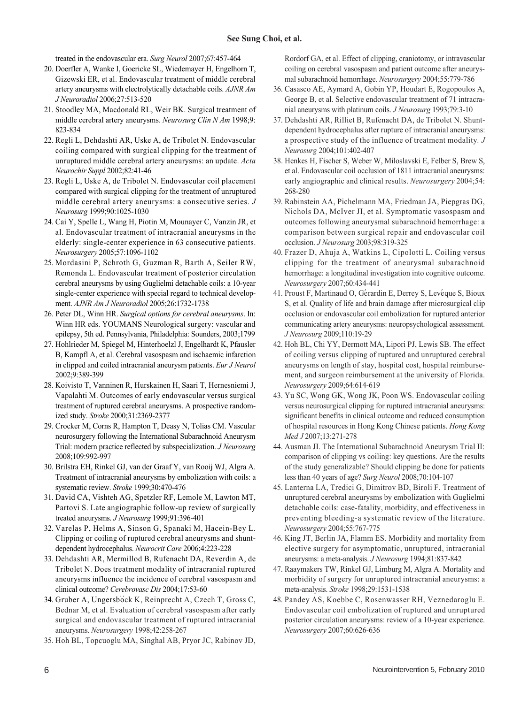treated in the endovascular era. *Surg Neurol* 2007;67:457-464

- 20. Doerfler A, Wanke I, Goericke SL, Wiedemayer H, Engelhorn T, Gizewski ER, et al. Endovascular treatment of middle cerebral artery aneurysms with electrolytically detachable coils. *AJNR Am J Neuroradiol* 2006;27:513-520
- 21. Stoodley MA, Macdonald RL, Weir BK. Surgical treatment of middle cerebral artery aneurysms. *Neurosurg Clin N Am* 1998;9: 823-834
- 22. Regli L, Dehdashti AR, Uske A, de Tribolet N. Endovascular coiling compared with surgical clipping for the treatment of unruptured middle cerebral artery aneurysms: an update. *Acta Neurochir Suppl* 2002;82:41-46
- 23. Regli L, Uske A, de Tribolet N. Endovascular coil placement compared with surgical clipping for the treatment of unruptured middle cerebral artery aneurysms: a consecutive series. *J Neurosurg* 1999;90:1025-1030
- 24. Cai Y, Spelle L, Wang H, Piotin M, Mounayer C, Vanzin JR, et al. Endovascular treatment of intracranial aneurysms in the elderly: single-center experience in 63 consecutive patients. *Neurosurgery* 2005;57:1096-1102
- 25. Mordasini P, Schroth G, Guzman R, Barth A, Seiler RW, Remonda L. Endovascular treatment of posterior circulation cerebral aneurysms by using Guglielmi detachable coils: a 10-year single-center experience with special regard to technical development. *AJNR Am J Neuroradiol* 2005;26:1732-1738
- 26. Peter DL, Winn HR. *Surgical options for cerebral aneurysms*. In: Winn HR eds. YOUMANS Neurological surgery: vascular and epilepsy, 5th ed. Pennsylvania, Philadelphia: Sounders, 2003;1799
- 27. Hohlrieder M, Spiegel M, Hinterhoelzl J, Engelhardt K, Pfausler B, Kampfl A, et al. Cerebral vasospasm and ischaemic infarction in clipped and coiled intracranial aneurysm patients. *Eur J Neurol* 2002;9:389-399
- 28. Koivisto T, Vanninen R, Hurskainen H, Saari T, Hernesniemi J, Vapalahti M. Outcomes of early endovascular versus surgical treatment of ruptured cerebral aneurysms. A prospective randomized study. *Stroke* 2000;31:2369-2377
- 29. Crocker M, Corns R, Hampton T, Deasy N, Tolias CM. Vascular neurosurgery following the International Subarachnoid Aneurysm Trial: modern practice reflected by subspecialization. *J Neurosurg* 2008;109:992-997
- 30. Brilstra EH, Rinkel GJ, van der Graaf Y, van Rooij WJ, Algra A. Treatment of intracranial aneurysms by embolization with coils: a systematic review. *Stroke* 1999;30:470-476
- 31. David CA, Vishteh AG, Spetzler RF, Lemole M, Lawton MT, Partovi S. Late angiographic follow-up review of surgically treated aneurysms. *J Neurosurg* 1999;91:396-401
- 32. Varelas P, Helms A, Sinson G, Spanaki M, Hacein-Bey L. Clipping or coiling of ruptured cerebral aneurysms and shuntdependent hydrocephalus. *Neurocrit Care* 2006;4:223-228
- 33. Dehdashti AR, Mermillod B, Rufenacht DA, Reverdin A, de Tribolet N. Does treatment modality of intracranial ruptured aneurysms influence the incidence of cerebral vasospasm and clinical outcome? *Cerebrovasc Dis* 2004;17:53-60
- 34. Gruber A, Ungersbock K, Reinprecht A, Czech T, Gross C, Bednar M, et al. Evaluation of cerebral vasospasm after early surgical and endovascular treatment of ruptured intracranial aneurysms. *Neurosurgery* 1998;42:258-267
- 35. Hoh BL, Topcuoglu MA, Singhal AB, Pryor JC, Rabinov JD,

Rordorf GA, et al. Effect of clipping, craniotomy, or intravascular coiling on cerebral vasospasm and patient outcome after aneurysmal subarachnoid hemorrhage. *Neurosurgery* 2004;55:779-786

- 36. Casasco AE, Aymard A, Gobin YP, Houdart E, Rogopoulos A, George B, et al. Selective endovascular treatment of 71 intracranial aneurysms with platinum coils. *J Neurosurg* 1993;79:3-10
- 37. Dehdashti AR, Rilliet B, Rufenacht DA, de Tribolet N. Shuntdependent hydrocephalus after rupture of intracranial aneurysms: a prospective study of the influence of treatment modality*. J Neurosurg* 2004;101:402-407
- 38. Henkes H, Fischer S, Weber W, Miloslavski E, Felber S, Brew S, et al. Endovascular coil occlusion of 1811 intracranial aneurysms: early angiographic and clinical results. *Neurosurgery* 2004;54: 268-280
- 39. Rabinstein AA, Pichelmann MA, Friedman JA, Piepgras DG, Nichols DA, McIver JI, et al. Symptomatic vasospasm and outcomes following aneurysmal subarachnoid hemorrhage: a comparison between surgical repair and endovascular coil occlusion. *J Neurosurg* 2003;98:319-325
- 40. Frazer D, Ahuja A, Watkins L, Cipolotti L. Coiling versus clipping for the treatment of aneurysmal subarachnoid hemorrhage: a longitudinal investigation into cognitive outcome. *Neurosurgery* 2007;60:434-441
- 41. Proust F, Martinaud O, Gérardin E, Derrey S, Levéque S, Bioux S, et al. Quality of life and brain damage after microsurgical clip occlusion or endovascular coil embolization for ruptured anterior communicating artery aneurysms: neuropsychological assessment. *J Neurosurg* 2009;110:19-29
- 42. Hoh BL, Chi YY, Dermott MA, Lipori PJ, Lewis SB. The effect of coiling versus clipping of ruptured and unruptured cerebral aneurysms on length of stay, hospital cost, hospital reimbursement, and surgeon reimbursement at the university of Florida. *Neurosurgery* 2009;64:614-619
- 43. Yu SC, Wong GK, Wong JK, Poon WS. Endovascular coiling versus neurosurgical clipping for ruptured intracranial aneurysms: significant benefits in clinical outcome and reduced consumption of hospital resources in Hong Kong Chinese patients. *Hong Kong Med J* 2007;13:271-278
- 44. Ausman JI. The International Subarachnoid Aneurysm Trial II: comparison of clipping vs coiling: key questions. Are the results of the study generalizable? Should clipping be done for patients less than 40 years of age? *Surg Neurol* 2008;70:104-107
- 45. Lanterna LA, Tredici G, Dimitrov BD, Biroli F. Treatment of unruptured cerebral aneurysms by embolization with Guglielmi detachable coils: case-fatality, morbidity, and effectiveness in preventing bleeding-a systematic review of the literature. *Neurosurgery* 2004;55:767-775
- 46. King JT, Berlin JA, Flamm ES. Morbidity and mortality from elective surgery for asymptomatic, unruptured, intracranial aneurysms: a meta-analysis. *J Neurosurg* 1994;81:837-842
- 47. Raaymakers TW, Rinkel GJ, Limburg M, Algra A. Mortality and morbidity of surgery for unruptured intracranial aneurysms: a meta-analysis. *Stroke* 1998;29:1531-1538
- 48. Pandey AS, Koebbe C, Rosenwasser RH, Veznedaroglu E. Endovascular coil embolization of ruptured and unruptured posterior circulation aneurysms: review of a 10-year experience. *Neurosurgery* 2007;60:626-636